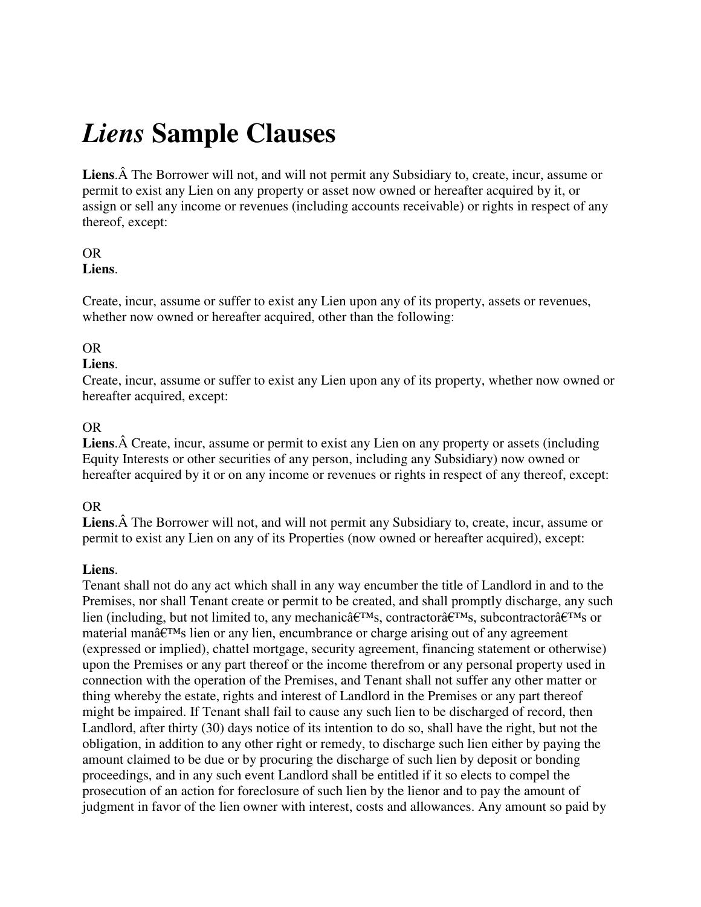# *Liens* **Sample Clauses**

Liens. A The Borrower will not, and will not permit any Subsidiary to, create, incur, assume or permit to exist any Lien on any property or asset now owned or hereafter acquired by it, or assign or sell any income or revenues (including accounts receivable) or rights in respect of any thereof, except:

#### OR **Liens**.

Create, incur, assume or suffer to exist any Lien upon any of its property, assets or revenues, whether now owned or hereafter acquired, other than the following:

## OR

### **Liens**.

Create, incur, assume or suffer to exist any Lien upon any of its property, whether now owned or hereafter acquired, except:

### OR

**Liens.** A Create, incur, assume or permit to exist any Lien on any property or assets (including Equity Interests or other securities of any person, including any Subsidiary) now owned or hereafter acquired by it or on any income or revenues or rights in respect of any thereof, except:

### OR

Liens. A The Borrower will not, and will not permit any Subsidiary to, create, incur, assume or permit to exist any Lien on any of its Properties (now owned or hereafter acquired), except:

### **Liens**.

Tenant shall not do any act which shall in any way encumber the title of Landlord in and to the Premises, nor shall Tenant create or permit to be created, and shall promptly discharge, any such lien (including, but not limited to, any mechanic $\hat{a} \in T^M$ s, contractor $\hat{a} \in T^M$ s, subcontractor $\hat{a} \in T^M$ s or material man $\hat{\mathbf{a}} \in \mathbb{R}^m$  lien or any lien, encumbrance or charge arising out of any agreement (expressed or implied), chattel mortgage, security agreement, financing statement or otherwise) upon the Premises or any part thereof or the income therefrom or any personal property used in connection with the operation of the Premises, and Tenant shall not suffer any other matter or thing whereby the estate, rights and interest of Landlord in the Premises or any part thereof might be impaired. If Tenant shall fail to cause any such lien to be discharged of record, then Landlord, after thirty (30) days notice of its intention to do so, shall have the right, but not the obligation, in addition to any other right or remedy, to discharge such lien either by paying the amount claimed to be due or by procuring the discharge of such lien by deposit or bonding proceedings, and in any such event Landlord shall be entitled if it so elects to compel the prosecution of an action for foreclosure of such lien by the lienor and to pay the amount of judgment in favor of the lien owner with interest, costs and allowances. Any amount so paid by